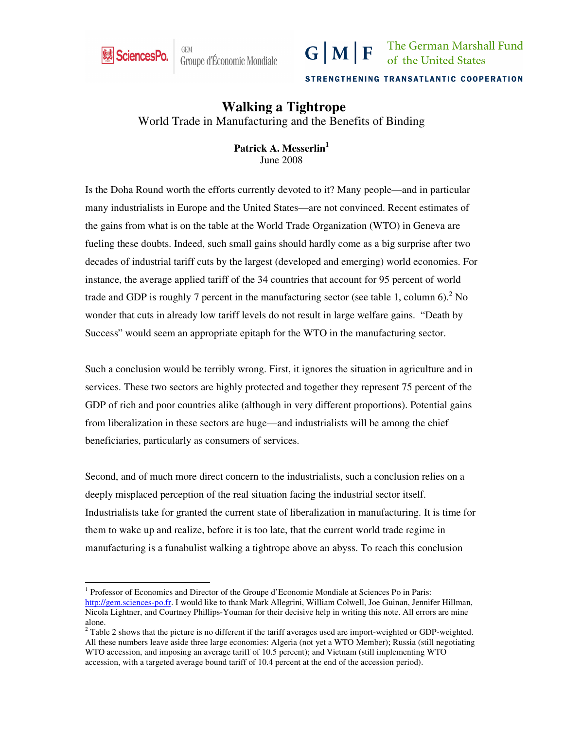

-

Groupe d'Économie Mondiale



STRENGTHENING TRANSATLANTIC COOPERATION

# **Walking a Tightrope**

World Trade in Manufacturing and the Benefits of Binding

**Patrick A. Messerlin<sup>1</sup>** June 2008

Is the Doha Round worth the efforts currently devoted to it? Many people—and in particular many industrialists in Europe and the United States—are not convinced. Recent estimates of the gains from what is on the table at the World Trade Organization (WTO) in Geneva are fueling these doubts. Indeed, such small gains should hardly come as a big surprise after two decades of industrial tariff cuts by the largest (developed and emerging) world economies. For instance, the average applied tariff of the 34 countries that account for 95 percent of world trade and GDP is roughly 7 percent in the manufacturing sector (see table 1, column 6).<sup>2</sup> No wonder that cuts in already low tariff levels do not result in large welfare gains. "Death by Success" would seem an appropriate epitaph for the WTO in the manufacturing sector.

Such a conclusion would be terribly wrong. First, it ignores the situation in agriculture and in services. These two sectors are highly protected and together they represent 75 percent of the GDP of rich and poor countries alike (although in very different proportions). Potential gains from liberalization in these sectors are huge—and industrialists will be among the chief beneficiaries, particularly as consumers of services.

Second, and of much more direct concern to the industrialists, such a conclusion relies on a deeply misplaced perception of the real situation facing the industrial sector itself. Industrialists take for granted the current state of liberalization in manufacturing. It is time for them to wake up and realize, before it is too late, that the current world trade regime in manufacturing is a funabulist walking a tightrope above an abyss. To reach this conclusion

<sup>&</sup>lt;sup>1</sup> Professor of Economics and Director of the Groupe d'Economie Mondiale at Sciences Po in Paris: http://gem.sciences-po.fr. I would like to thank Mark Allegrini, William Colwell, Joe Guinan, Jennifer Hillman, Nicola Lightner, and Courtney Phillips-Youman for their decisive help in writing this note. All errors are mine alone.

 $2$  Table 2 shows that the picture is no different if the tariff averages used are import-weighted or GDP-weighted. All these numbers leave aside three large economies: Algeria (not yet a WTO Member); Russia (still negotiating WTO accession, and imposing an average tariff of 10.5 percent); and Vietnam (still implementing WTO accession, with a targeted average bound tariff of 10.4 percent at the end of the accession period).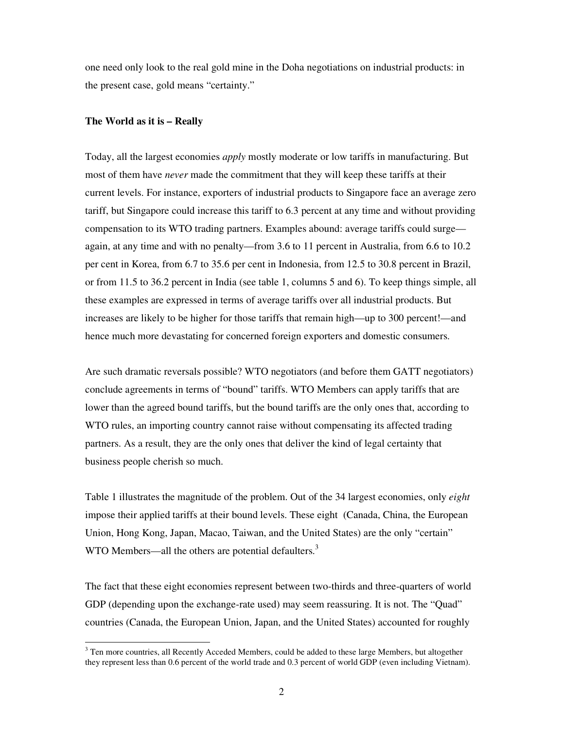one need only look to the real gold mine in the Doha negotiations on industrial products: in the present case, gold means "certainty."

### **The World as it is – Really**

-

Today, all the largest economies *apply* mostly moderate or low tariffs in manufacturing. But most of them have *never* made the commitment that they will keep these tariffs at their current levels. For instance, exporters of industrial products to Singapore face an average zero tariff, but Singapore could increase this tariff to 6.3 percent at any time and without providing compensation to its WTO trading partners. Examples abound: average tariffs could surge again, at any time and with no penalty—from 3.6 to 11 percent in Australia, from 6.6 to 10.2 per cent in Korea, from 6.7 to 35.6 per cent in Indonesia, from 12.5 to 30.8 percent in Brazil, or from 11.5 to 36.2 percent in India (see table 1, columns 5 and 6). To keep things simple, all these examples are expressed in terms of average tariffs over all industrial products. But increases are likely to be higher for those tariffs that remain high—up to 300 percent!—and hence much more devastating for concerned foreign exporters and domestic consumers.

Are such dramatic reversals possible? WTO negotiators (and before them GATT negotiators) conclude agreements in terms of "bound" tariffs. WTO Members can apply tariffs that are lower than the agreed bound tariffs, but the bound tariffs are the only ones that, according to WTO rules, an importing country cannot raise without compensating its affected trading partners. As a result, they are the only ones that deliver the kind of legal certainty that business people cherish so much.

Table 1 illustrates the magnitude of the problem. Out of the 34 largest economies, only *eight* impose their applied tariffs at their bound levels. These eight (Canada, China, the European Union, Hong Kong, Japan, Macao, Taiwan, and the United States) are the only "certain" WTO Members—all the others are potential defaulters.<sup>3</sup>

The fact that these eight economies represent between two-thirds and three-quarters of world GDP (depending upon the exchange-rate used) may seem reassuring. It is not. The "Quad" countries (Canada, the European Union, Japan, and the United States) accounted for roughly

<sup>&</sup>lt;sup>3</sup> Ten more countries, all Recently Acceded Members, could be added to these large Members, but altogether they represent less than 0.6 percent of the world trade and 0.3 percent of world GDP (even including Vietnam).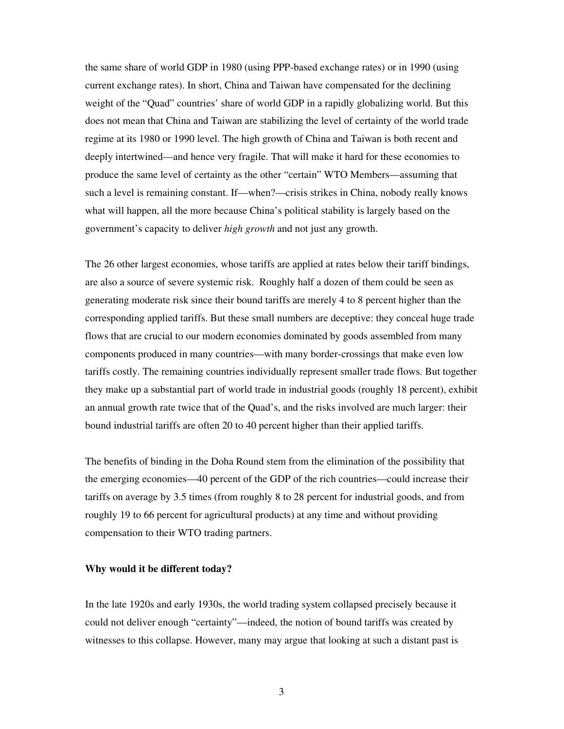the same share of world GDP in 1980 (using PPP-based exchange rates) or in 1990 (using current exchange rates). In short, China and Taiwan have compensated for the declining weight of the "Quad" countries' share of world GDP in a rapidly globalizing world. But this does not mean that China and Taiwan are stabilizing the level of certainty of the world trade regime at its 1980 or 1990 level. The high growth of China and Taiwan is both recent and deeply intertwined—and hence very fragile. That will make it hard for these economies to produce the same level of certainty as the other "certain" WTO Members—assuming that such a level is remaining constant. If—when?—crisis strikes in China, nobody really knows what will happen, all the more because China's political stability is largely based on the government's capacity to deliver *high growth* and not just any growth.

The 26 other largest economies, whose tariffs are applied at rates below their tariff bindings, are also a source of severe systemic risk. Roughly half a dozen of them could be seen as generating moderate risk since their bound tariffs are merely 4 to 8 percent higher than the corresponding applied tariffs. But these small numbers are deceptive: they conceal huge trade flows that are crucial to our modern economies dominated by goods assembled from many components produced in many countries—with many border-crossings that make even low tariffs costly. The remaining countries individually represent smaller trade flows. But together they make up a substantial part of world trade in industrial goods (roughly 18 percent), exhibit an annual growth rate twice that of the Quad's, and the risks involved are much larger: their bound industrial tariffs are often 20 to 40 percent higher than their applied tariffs.

The benefits of binding in the Doha Round stem from the elimination of the possibility that the emerging economies—40 percent of the GDP of the rich countries—could increase their tariffs on average by 3.5 times (from roughly 8 to 28 percent for industrial goods, and from roughly 19 to 66 percent for agricultural products) at any time and without providing compensation to their WTO trading partners.

#### **Why would it be different today?**

In the late 1920s and early 1930s, the world trading system collapsed precisely because it could not deliver enough "certainty"—indeed, the notion of bound tariffs was created by witnesses to this collapse. However, many may argue that looking at such a distant past is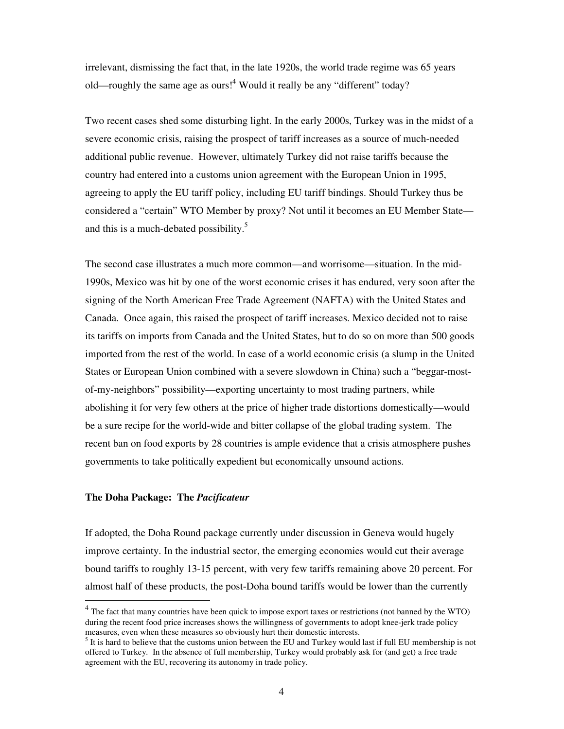irrelevant, dismissing the fact that, in the late 1920s, the world trade regime was 65 years old—roughly the same age as ours!<sup>4</sup> Would it really be any "different" today?

Two recent cases shed some disturbing light. In the early 2000s, Turkey was in the midst of a severe economic crisis, raising the prospect of tariff increases as a source of much-needed additional public revenue. However, ultimately Turkey did not raise tariffs because the country had entered into a customs union agreement with the European Union in 1995, agreeing to apply the EU tariff policy, including EU tariff bindings. Should Turkey thus be considered a "certain" WTO Member by proxy? Not until it becomes an EU Member State and this is a much-debated possibility.<sup>5</sup>

The second case illustrates a much more common—and worrisome—situation. In the mid-1990s, Mexico was hit by one of the worst economic crises it has endured, very soon after the signing of the North American Free Trade Agreement (NAFTA) with the United States and Canada. Once again, this raised the prospect of tariff increases. Mexico decided not to raise its tariffs on imports from Canada and the United States, but to do so on more than 500 goods imported from the rest of the world. In case of a world economic crisis (a slump in the United States or European Union combined with a severe slowdown in China) such a "beggar-mostof-my-neighbors" possibility—exporting uncertainty to most trading partners, while abolishing it for very few others at the price of higher trade distortions domestically—would be a sure recipe for the world-wide and bitter collapse of the global trading system. The recent ban on food exports by 28 countries is ample evidence that a crisis atmosphere pushes governments to take politically expedient but economically unsound actions.

## **The Doha Package: The** *Pacificateur*

-

If adopted, the Doha Round package currently under discussion in Geneva would hugely improve certainty. In the industrial sector, the emerging economies would cut their average bound tariffs to roughly 13-15 percent, with very few tariffs remaining above 20 percent. For almost half of these products, the post-Doha bound tariffs would be lower than the currently

<sup>&</sup>lt;sup>4</sup> The fact that many countries have been quick to impose export taxes or restrictions (not banned by the WTO) during the recent food price increases shows the willingness of governments to adopt knee-jerk trade policy measures, even when these measures so obviously hurt their domestic interests.

 $<sup>5</sup>$  It is hard to believe that the customs union between the EU and Turkey would last if full EU membership is not</sup> offered to Turkey. In the absence of full membership, Turkey would probably ask for (and get) a free trade agreement with the EU, recovering its autonomy in trade policy.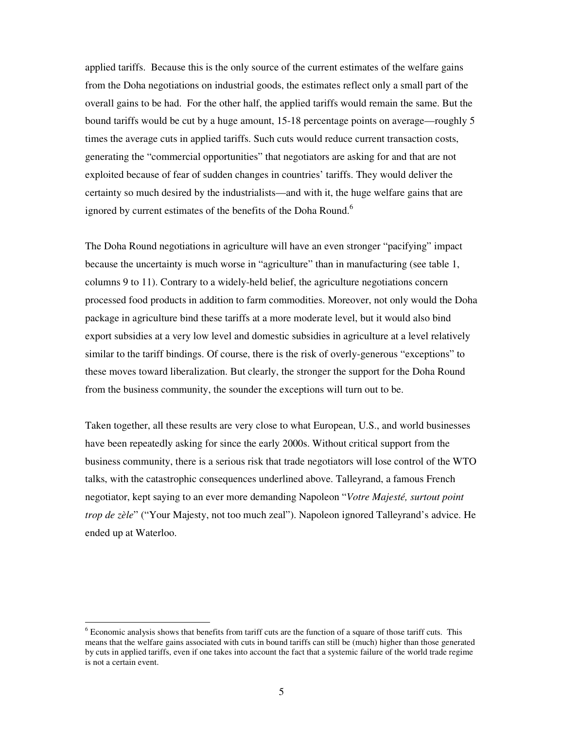applied tariffs. Because this is the only source of the current estimates of the welfare gains from the Doha negotiations on industrial goods, the estimates reflect only a small part of the overall gains to be had. For the other half, the applied tariffs would remain the same. But the bound tariffs would be cut by a huge amount, 15-18 percentage points on average—roughly 5 times the average cuts in applied tariffs. Such cuts would reduce current transaction costs, generating the "commercial opportunities" that negotiators are asking for and that are not exploited because of fear of sudden changes in countries' tariffs. They would deliver the certainty so much desired by the industrialists—and with it, the huge welfare gains that are ignored by current estimates of the benefits of the Doha Round.<sup>6</sup>

The Doha Round negotiations in agriculture will have an even stronger "pacifying" impact because the uncertainty is much worse in "agriculture" than in manufacturing (see table 1, columns 9 to 11). Contrary to a widely-held belief, the agriculture negotiations concern processed food products in addition to farm commodities. Moreover, not only would the Doha package in agriculture bind these tariffs at a more moderate level, but it would also bind export subsidies at a very low level and domestic subsidies in agriculture at a level relatively similar to the tariff bindings. Of course, there is the risk of overly-generous "exceptions" to these moves toward liberalization. But clearly, the stronger the support for the Doha Round from the business community, the sounder the exceptions will turn out to be.

Taken together, all these results are very close to what European, U.S., and world businesses have been repeatedly asking for since the early 2000s. Without critical support from the business community, there is a serious risk that trade negotiators will lose control of the WTO talks, with the catastrophic consequences underlined above. Talleyrand, a famous French negotiator, kept saying to an ever more demanding Napoleon "*Votre Majesté, surtout point trop de zèle*" ("Your Majesty, not too much zeal"). Napoleon ignored Talleyrand's advice. He ended up at Waterloo.

-

 $6$  Economic analysis shows that benefits from tariff cuts are the function of a square of those tariff cuts. This means that the welfare gains associated with cuts in bound tariffs can still be (much) higher than those generated by cuts in applied tariffs, even if one takes into account the fact that a systemic failure of the world trade regime is not a certain event.